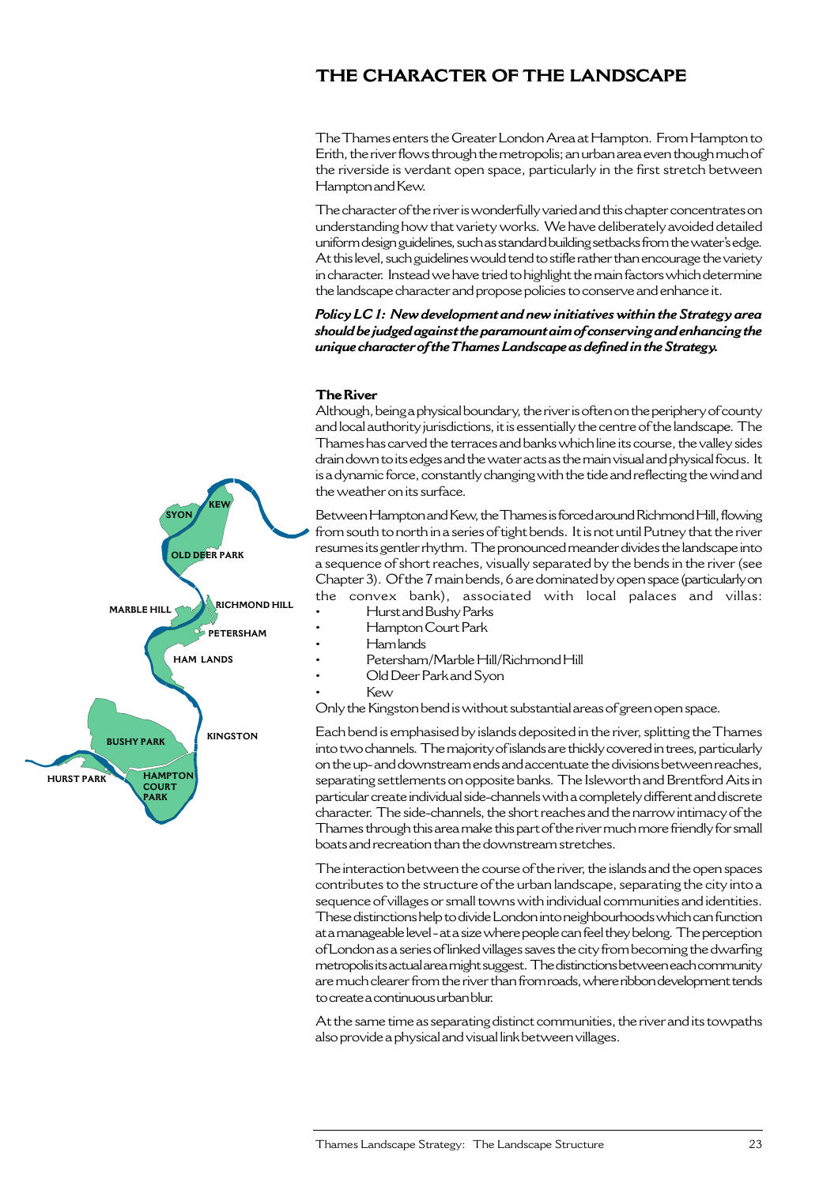# **THE CHARACTER OF THE LANDSCAPE**

The Thames enters the Greater London Area at Hampton. From Hampton to Erith, the river flows through the metropolis; an urban area even though much of the riverside is verdant open space, particularly in the first stretch between Hampton and Kew.

The character of the river is wonderfully varied and this chapter concentrates on understanding how that variety works. We have deliberately avoided detailed uniform design guidelines, such as standard building setbacks from the water's edge. At this level, such guidelines would tend to stifle rather than encourage the variety in character. Instead we have tried to highlight the main factors which determine the landscape character and propose policies to conserve and enhance it.

*Policy LC 1: New development and new initiatives within the Strategy area should be judged against the paramount aim of conserving and enhancing the unique character of the Thames Landscape as defined in the Strategy.*

#### **The River**

Although, being a physical boundary, the river is often on the periphery of county and local authority jurisdictions, it is essentially the centre of the landscape. The Thames has carved the terraces and banks which line its course, the valley sides drain down to its edges and the water acts as the main visual and physical focus. It is a dynamic force, constantly changing with the tide and reflecting the wind and the weather on its surface.

Between Hampton and Kew, the Thames is forced around Richmond Hill, flowing from south to north in a series of tight bends. It is not until Putney that the river resumes its gentler rhythm. The pronounced meander divides the landscape into a sequence of short reaches, visually separated by the bends in the river (see Chapter 3). Of the 7 main bends, 6 are dominated by open space (particularly on the convex bank), associated with local palaces and villas:

- Hurst and Bushy Parks
- Hampton Court Park
- Ham lands
- Petersham/Marble Hill/Richmond Hill
- Old Deer Park and Syon
- Kew

Only the Kingston bend is without substantial areas of green open space.

Each bend is emphasised by islands deposited in the river, splitting the Thames into two channels. The majority of islands are thickly covered in trees, particularly on the up- and downstream ends and accentuate the divisions between reaches, separating settlements on opposite banks. The Isleworth and Brentford Aits in particular create individual side-channels with a completely different and discrete character. The side-channels, the short reaches and the narrow intimacy of the Thames through this area make this part of the river much more friendly for small boats and recreation than the downstream stretches.

The interaction between the course of the river, the islands and the open spaces contributes to the structure of the urban landscape, separating the city into a sequence of villages or small towns with individual communities and identities. These distinctions help to divide London into neighbourhoods which can function at a manageable level - at a size where people can feel they belong. The perception of London as a series of linked villages saves the city from becoming the dwarfing metropolis its actual area might suggest. The distinctions between each community are much clearer from the river than from roads, where ribbon development tends to create a continuous urban blur.

At the same time as separating distinct communities, the river and its towpaths also provide a physical and visual link between villages.

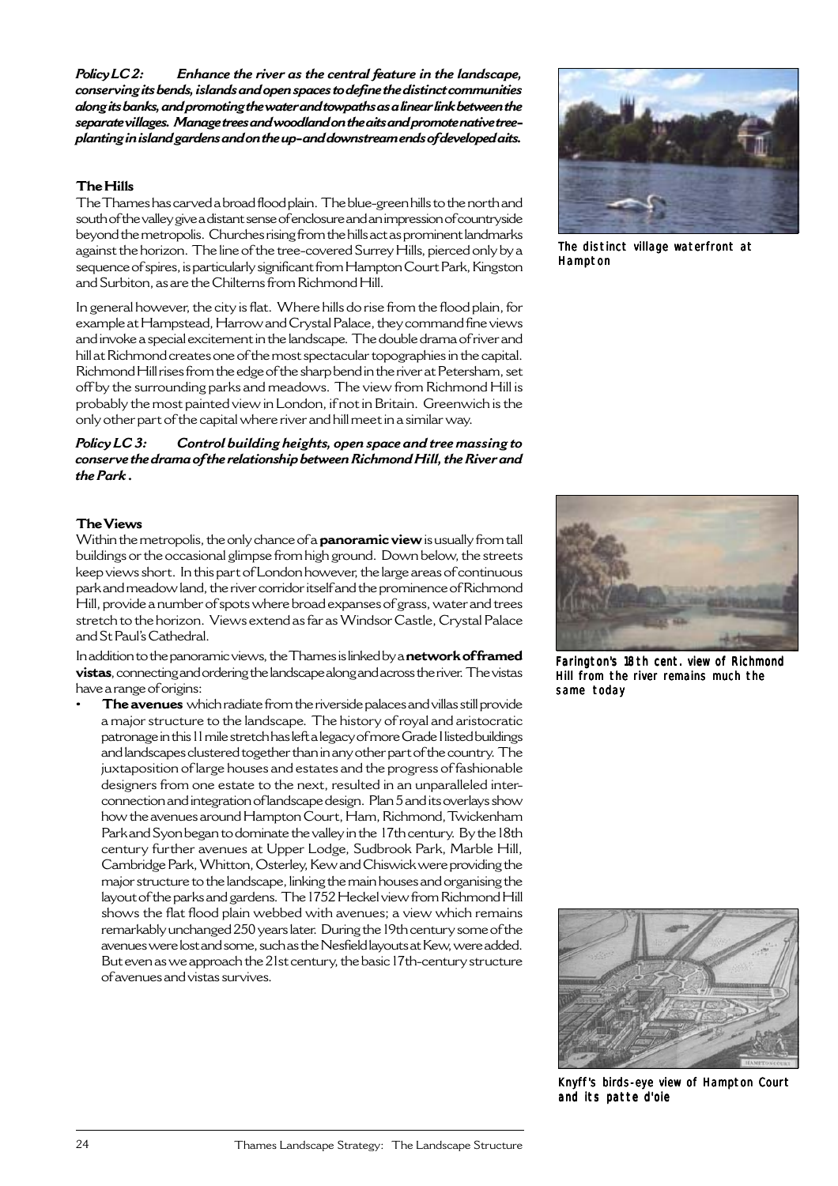*Policy LC 2: Enhance the river as the central feature in the landscape, conserving its bends, islands and open spaces to define the distinct communities along its banks, and promoting the water and towpaths as a linear link between the separate villages. Manage trees and woodland on the aits and promote native treeplanting in island gardens and on the up- and downstream ends of developed aits.*

## **The Hills**

The Thames has carved a broad flood plain. The blue-green hills to the north and south of the valley give a distant sense of enclosure and an impression of countryside beyond the metropolis. Churches rising from the hills act as prominent landmarks against the horizon. The line of the tree-covered Surrey Hills, pierced only by a sequence of spires, is particularly significant from Hampton Court Park, Kingston and Surbiton, as are the Chilterns from Richmond Hill.

In general however, the city is flat. Where hills do rise from the flood plain, for example at Hampstead, Harrow and Crystal Palace, they command fine views and invoke a special excitement in the landscape. The double drama of river and hill at Richmond creates one of the most spectacular topographies in the capital. Richmond Hill rises from the edge of the sharp bend in the river at Petersham, set off by the surrounding parks and meadows. The view from Richmond Hill is probably the most painted view in London, if not in Britain. Greenwich is the only other part of the capital where river and hill meet in a similar way.

## *Policy LC 3: Control building heights, open space and tree massing to conserve the drama of the relationship between Richmond Hill, the River and the Park .*



The distinct village waterfront at Hampton

## **The Views**

Within the metropolis, the only chance of a **panoramic view** is usually from tall buildings or the occasional glimpse from high ground. Down below, the streets keep views short. In this part of London however, the large areas of continuous park and meadow land, the river corridor itself and the prominence of Richmond Hill, provide a number of spots where broad expanses of grass, water and trees stretch to the horizon. Views extend as far as Windsor Castle, Crystal Palace and St Paul's Cathedral.

In addition to the panoramic views, the Thames is linked by a **network of framed vistas**, connecting and ordering the landscape along and across the river. The vistas have a range of origins:

**• The avenues** which radiate from the riverside palaces and villas still provide a major structure to the landscape. The history of royal and aristocratic patronage in this 11 mile stretch has left a legacy of more Grade I listed buildings and landscapes clustered together than in any other part of the country. The juxtaposition of large houses and estates and the progress of fashionable designers from one estate to the next, resulted in an unparalleled interconnection and integration of landscape design. Plan 5 and its overlays show how the avenues around Hampton Court, Ham, Richmond, Twickenham Park and Syon began to dominate the valley in the 17th century. By the 18th century further avenues at Upper Lodge, Sudbrook Park, Marble Hill, Cambridge Park, Whitton, Osterley, Kew and Chiswick were providing the major structure to the landscape, linking the main houses and organising the layout of the parks and gardens. The 1752 Heckel view from Richmond Hill shows the flat flood plain webbed with avenues; a view which remains remarkably unchanged 250 years later. During the 19th century some of the avenues were lost and some, such as the Nesfield layouts at Kew, were added. But even as we approach the 21st century, the basic 17th-century structure of avenues and vistas survives.



Farington's 18th cent. view of Richmond Hill from the river remains much the same today



Knyff's birds-eye view of Hampton Court and its patte d'oie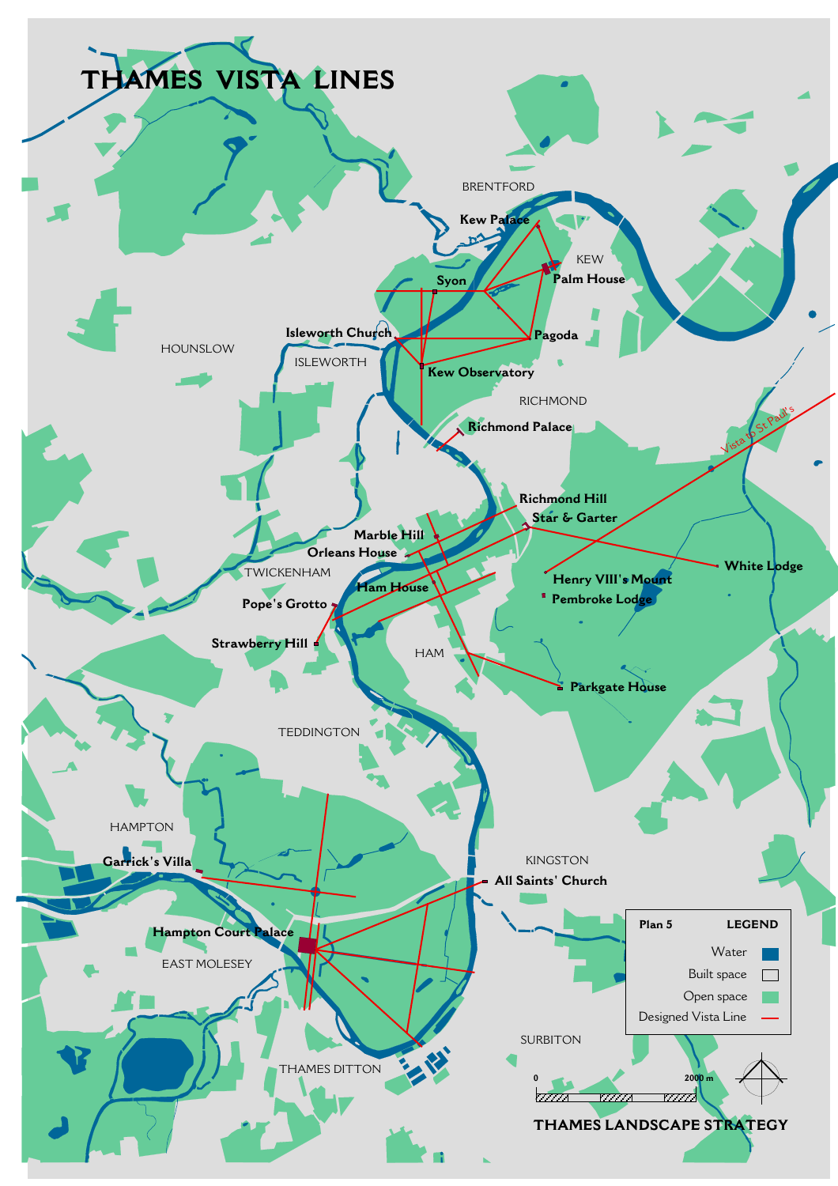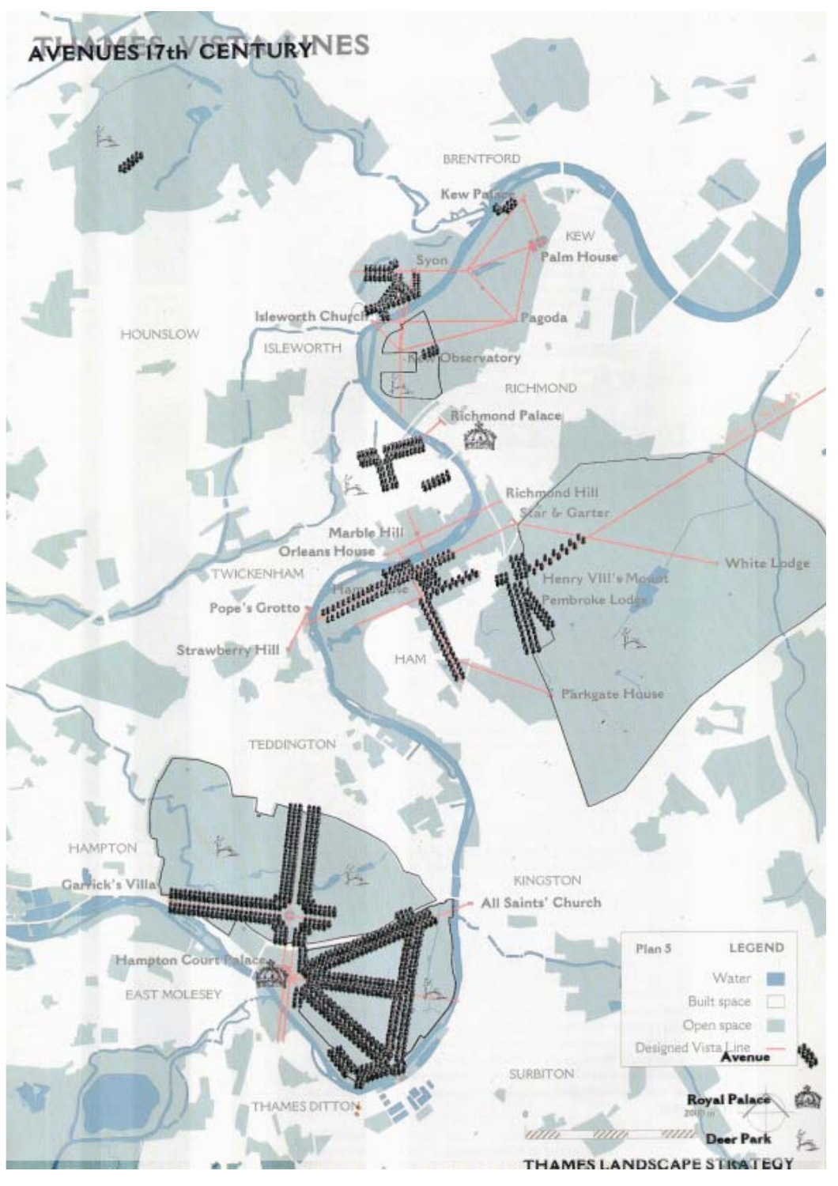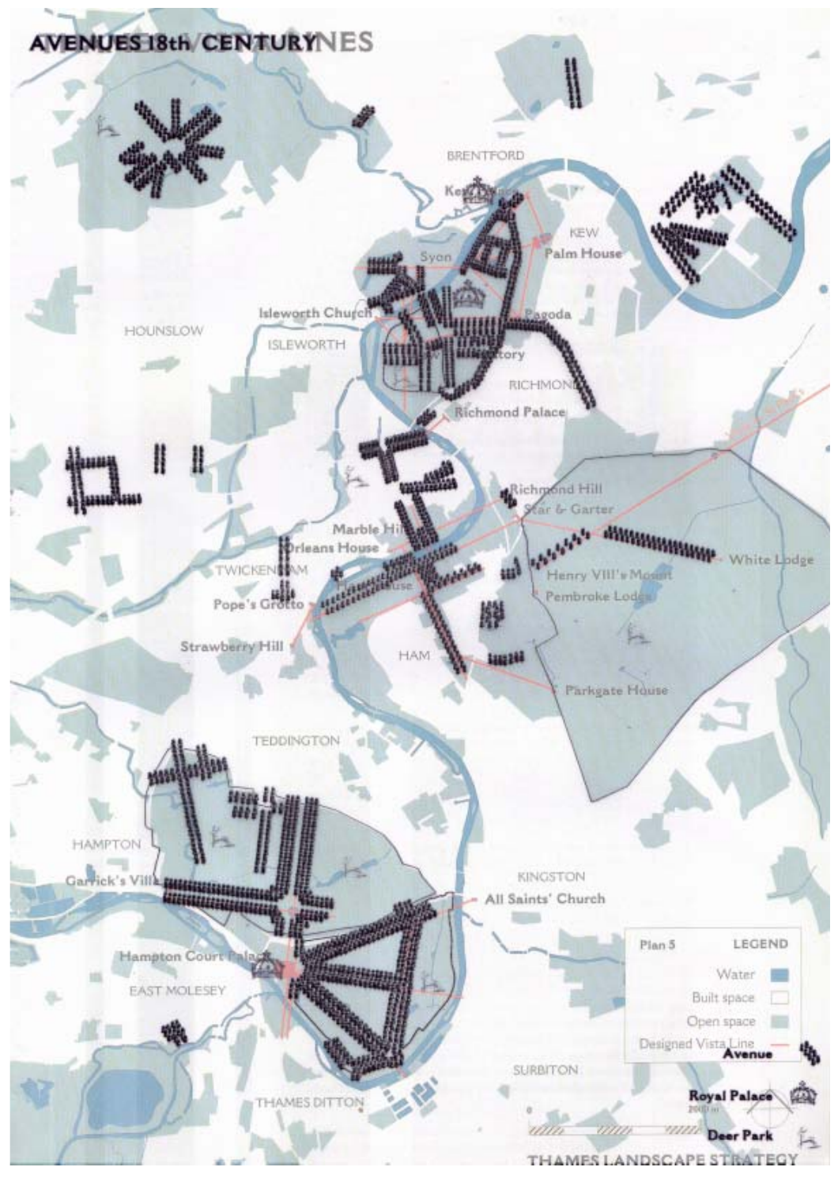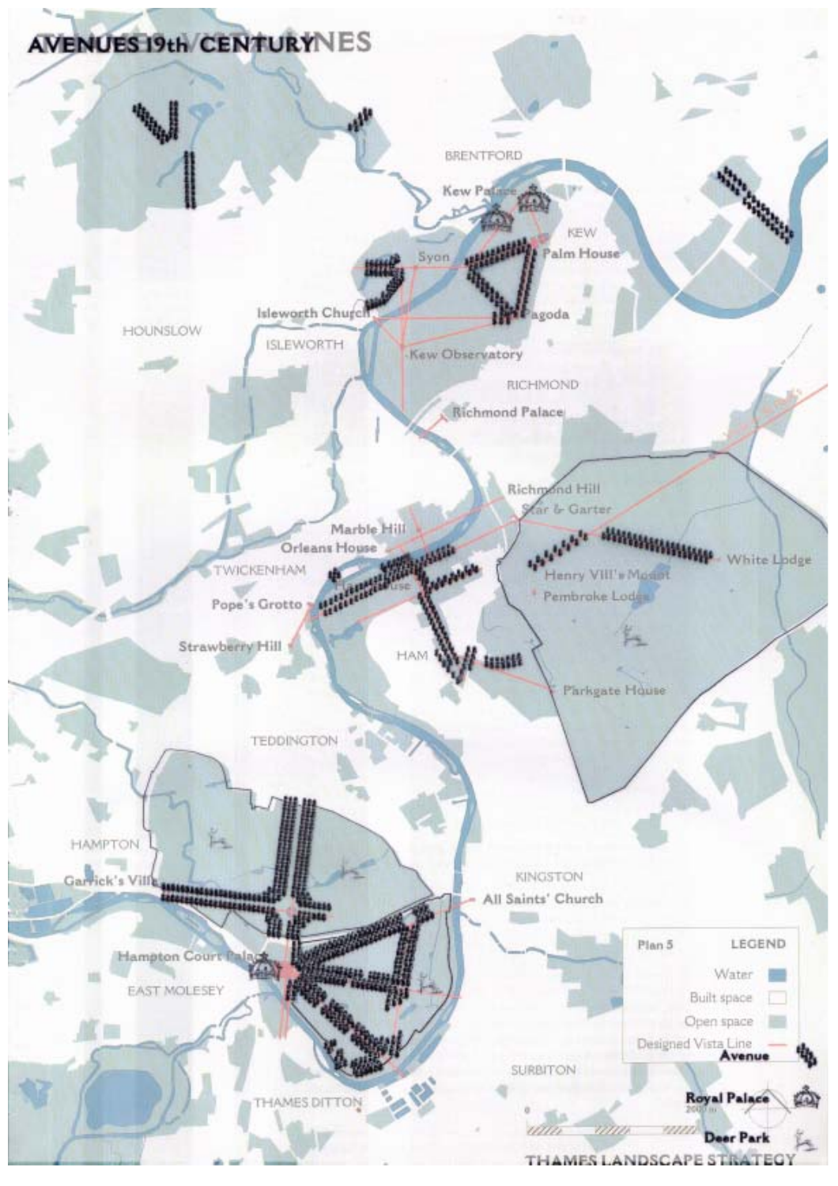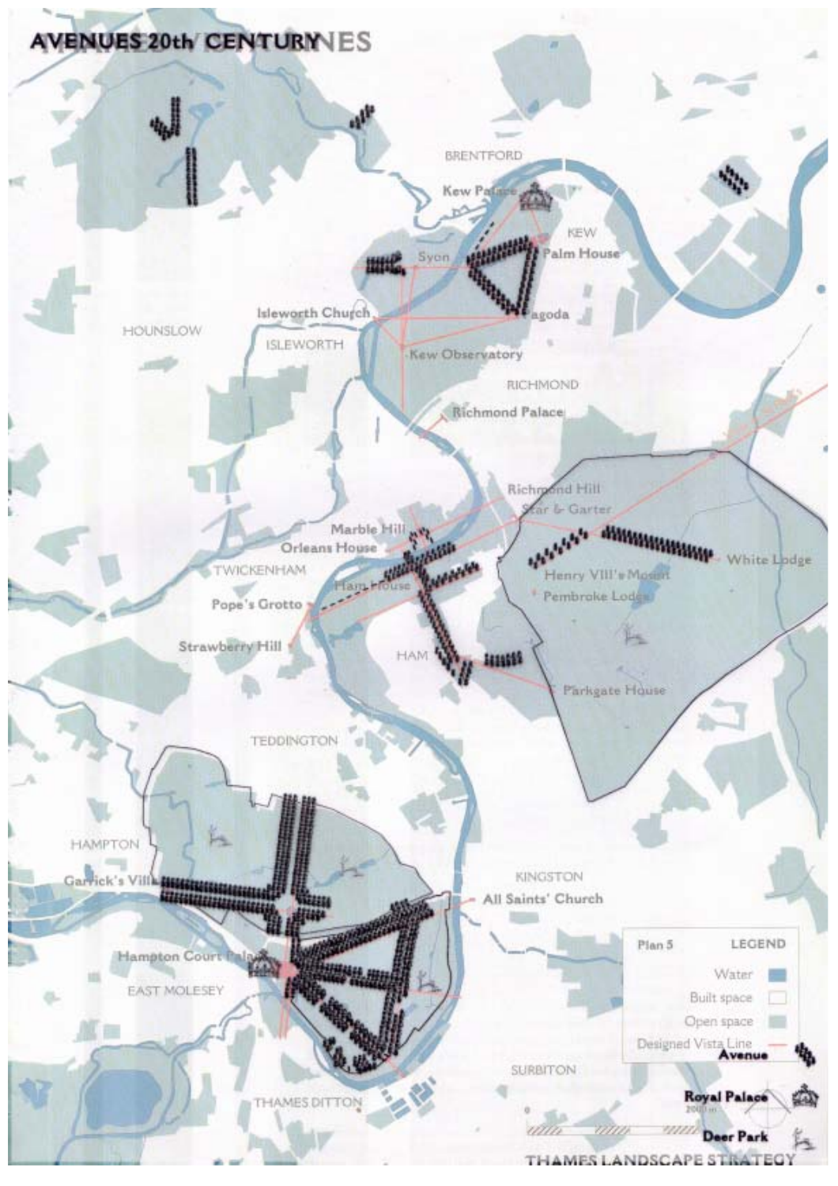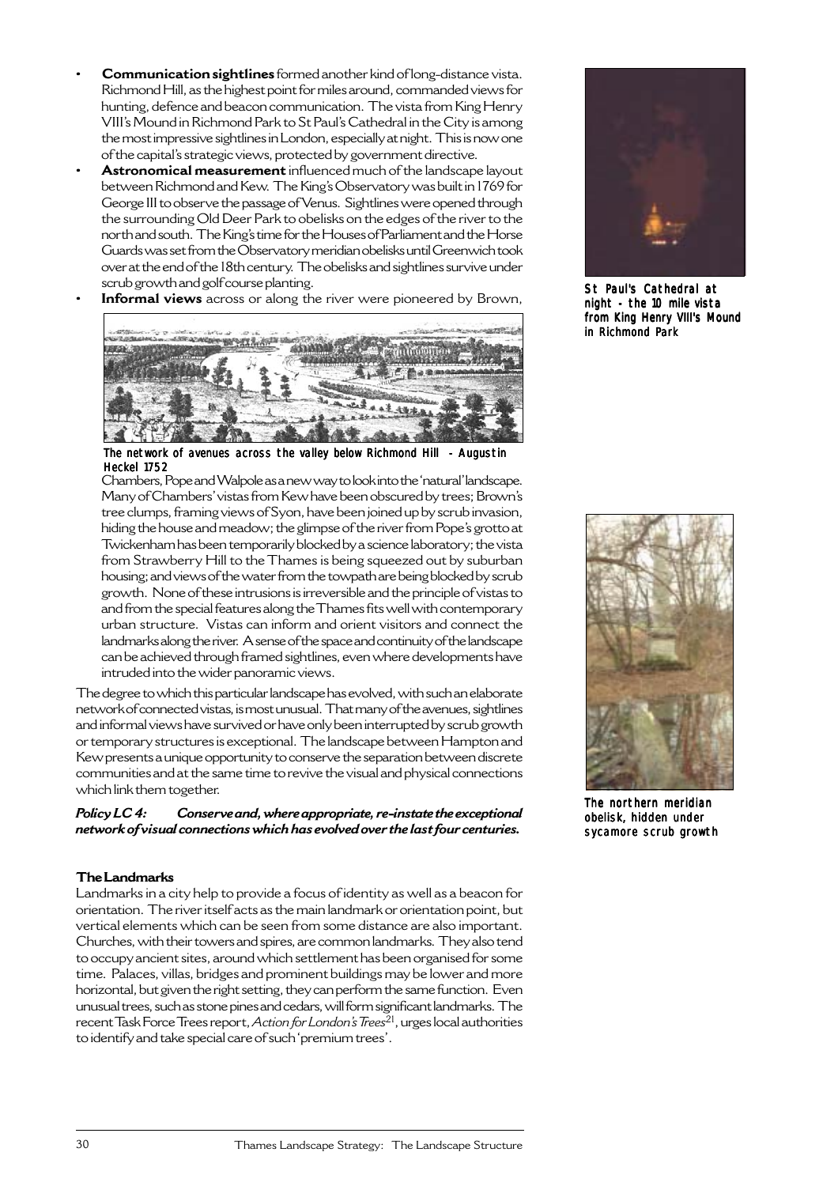- **Communication sightlines** formed another kind of long-distance vista. Richmond Hill, as the highest point for miles around, commanded views for hunting, defence and beacon communication. The vista from King Henry VIII's Mound in Richmond Park to St Paul's Cathedral in the City is among the most impressive sightlines in London, especially at night. This is now one of the capital's strategic views, protected by government directive.
- **Astronomical measurement** influenced much of the landscape layout between Richmond and Kew. The King's Observatory was built in 1769 for George III to observe the passage of Venus. Sightlines were opened through the surrounding Old Deer Park to obelisks on the edges of the river to the north and south. The King's time for the Houses of Parliament and the Horse Guards was set from the Observatory meridian obelisks until Greenwich took over at the end of the 18th century. The obelisks and sightlines survive under scrub growth and golf course planting.
	- **Informal views** across or along the river were pioneered by Brown,



The network of avenues across the valley below Richmond Hill - Augustin Heckel 1752

Chambers, Pope and Walpole as a new way to look into the 'natural' landscape. Many of Chambers' vistas from Kew have been obscured by trees; Brown's tree clumps, framing views of Syon, have been joined up by scrub invasion, hiding the house and meadow; the glimpse of the river from Pope's grotto at Twickenham has been temporarily blocked by a science laboratory; the vista from Strawberry Hill to the Thames is being squeezed out by suburban housing; and views of the water from the towpath are being blocked by scrub growth. None of these intrusions is irreversible and the principle of vistas to and from the special features along the Thames fits well with contemporary urban structure. Vistas can inform and orient visitors and connect the landmarks along the river. A sense of the space and continuity of the landscape can be achieved through framed sightlines, even where developments have intruded into the wider panoramic views.

The degree to which this particular landscape has evolved, with such an elaborate network of connected vistas, is most unusual. That many of the avenues, sightlines and informal views have survived or have only been interrupted by scrub growth or temporary structures is exceptional. The landscape between Hampton and Kew presents a unique opportunity to conserve the separation between discrete communities and at the same time to revive the visual and physical connections which link them together.

*Policy LC 4: Conserve and, where appropriate, re-instate the exceptional network of visual connections which has evolved over the last four centuries.*

## **The Landmarks**

Landmarks in a city help to provide a focus of identity as well as a beacon for orientation. The river itself acts as the main landmark or orientation point, but vertical elements which can be seen from some distance are also important. Churches, with their towers and spires, are common landmarks. They also tend to occupy ancient sites, around which settlement has been organised for some time. Palaces, villas, bridges and prominent buildings may be lower and more horizontal, but given the right setting, they can perform the same function. Even unusual trees, such as stone pines and cedars, will form significant landmarks. The recent Task Force Trees report, *Action for London's Trees*21, urges local authorities to identify and take special care of such 'premium trees'.



St Paul's Cathedral at night - the 10 mile vista from King Henry VIII's Mound in Richmond Park



The northern meridian obelisk, hidden under sycamore scrub growth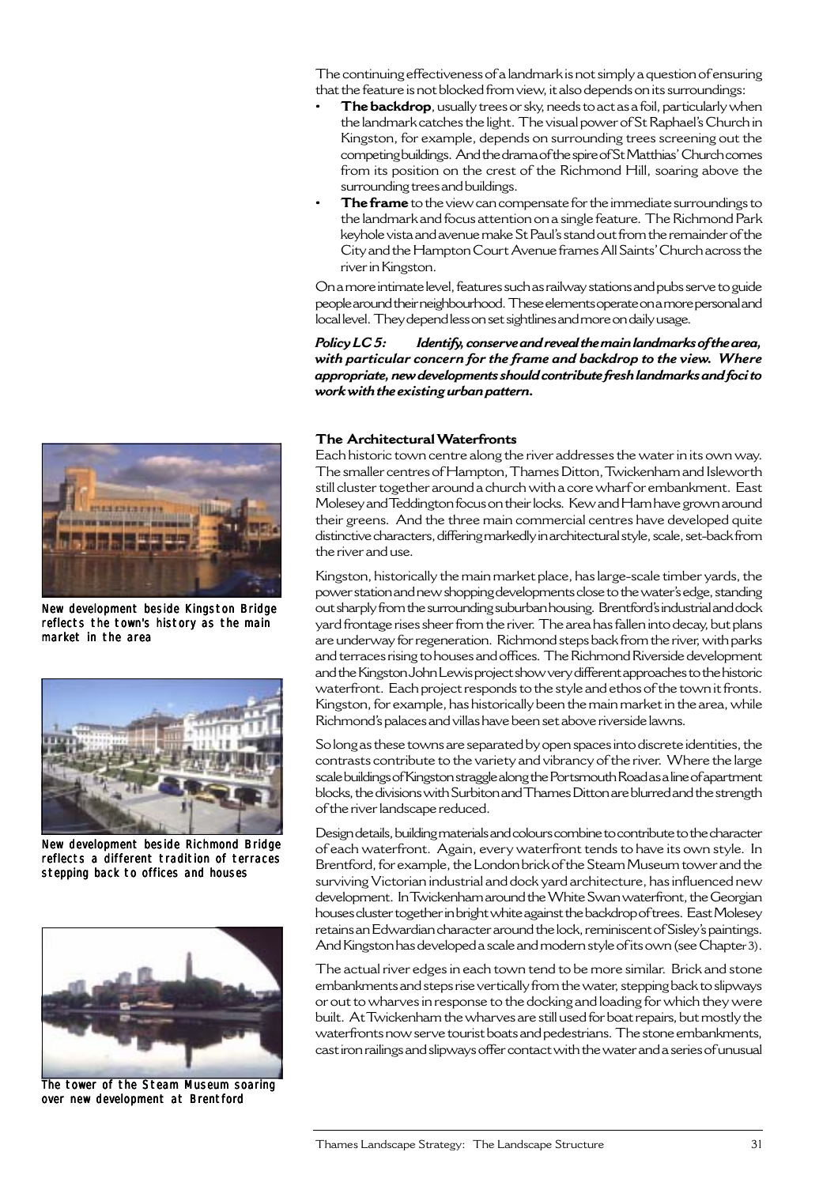The continuing effectiveness of a landmark is not simply a question of ensuring that the feature is not blocked from view, it also depends on its surroundings:

- **The backdrop**, usually trees or sky, needs to act as a foil, particularly when the landmark catches the light. The visual power of St Raphael's Church in Kingston, for example, depends on surrounding trees screening out the competing buildings. And the drama of the spire of St Matthias' Church comes from its position on the crest of the Richmond Hill, soaring above the surrounding trees and buildings.
- **The frame** to the view can compensate for the immediate surroundings to the landmark and focus attention on a single feature. The Richmond Park keyhole vista and avenue make St Paul's stand out from the remainder of the City and the Hampton Court Avenue frames All Saints' Church across the river in Kingston.

On a more intimate level, features such as railway stations and pubs serve to guide people around their neighbourhood. These elements operate on a more personal and local level. They depend less on set sightlines and more on daily usage.

*Policy LC 5: Identify, conserve and reveal the main landmarks of the area, with particular concern for the frame and backdrop to the view. Where appropriate, new developments should contribute fresh landmarks and foci to work with the existing urban pattern.*



New development beside Kingston Bridge reflects the town's history as the main market in the area



New development beside Richmond Bridge reflects a different tradition of terraces stepping back to offices and houses



The tower of the Steam Museum soaring over new development at Brentford

#### **The Architectural Waterfronts**

Each historic town centre along the river addresses the water in its own way. The smaller centres of Hampton, Thames Ditton, Twickenham and Isleworth still cluster together around a church with a core wharf or embankment. East Molesey and Teddington focus on their locks. Kew and Ham have grown around their greens. And the three main commercial centres have developed quite distinctive characters, differing markedly in architectural style, scale, set-back from the river and use.

Kingston, historically the main market place, has large-scale timber yards, the power station and new shopping developments close to the water's edge, standing out sharply from the surrounding suburban housing. Brentford's industrial and dock yard frontage rises sheer from the river. The area has fallen into decay, but plans are underway for regeneration. Richmond steps back from the river, with parks and terraces rising to houses and offices. The Richmond Riverside development and the Kingston John Lewis project show very different approaches to the historic waterfront. Each project responds to the style and ethos of the town it fronts. Kingston, for example, has historically been the main market in the area, while Richmond's palaces and villas have been set above riverside lawns.

So long as these towns are separated by open spaces into discrete identities, the contrasts contribute to the variety and vibrancy of the river. Where the large scale buildings of Kingston straggle along the Portsmouth Road as a line of apartment blocks, the divisions with Surbiton and Thames Ditton are blurred and the strength of the river landscape reduced.

Design details, building materials and colours combine to contribute to the character of each waterfront. Again, every waterfront tends to have its own style. In Brentford, for example, the London brick of the Steam Museum tower and the surviving Victorian industrial and dock yard architecture, has influenced new development. In Twickenham around the White Swan waterfront, the Georgian houses cluster together in bright white against the backdrop of trees. East Molesey retains an Edwardian character around the lock, reminiscent of Sisley's paintings. And Kingston has developed a scale and modern style of its own (see Chapter 3).

The actual river edges in each town tend to be more similar. Brick and stone embankments and steps rise vertically from the water, stepping back to slipways or out to wharves in response to the docking and loading for which they were built. At Twickenham the wharves are still used for boat repairs, but mostly the waterfronts now serve tourist boats and pedestrians. The stone embankments, cast iron railings and slipways offer contact with the water and a series of unusual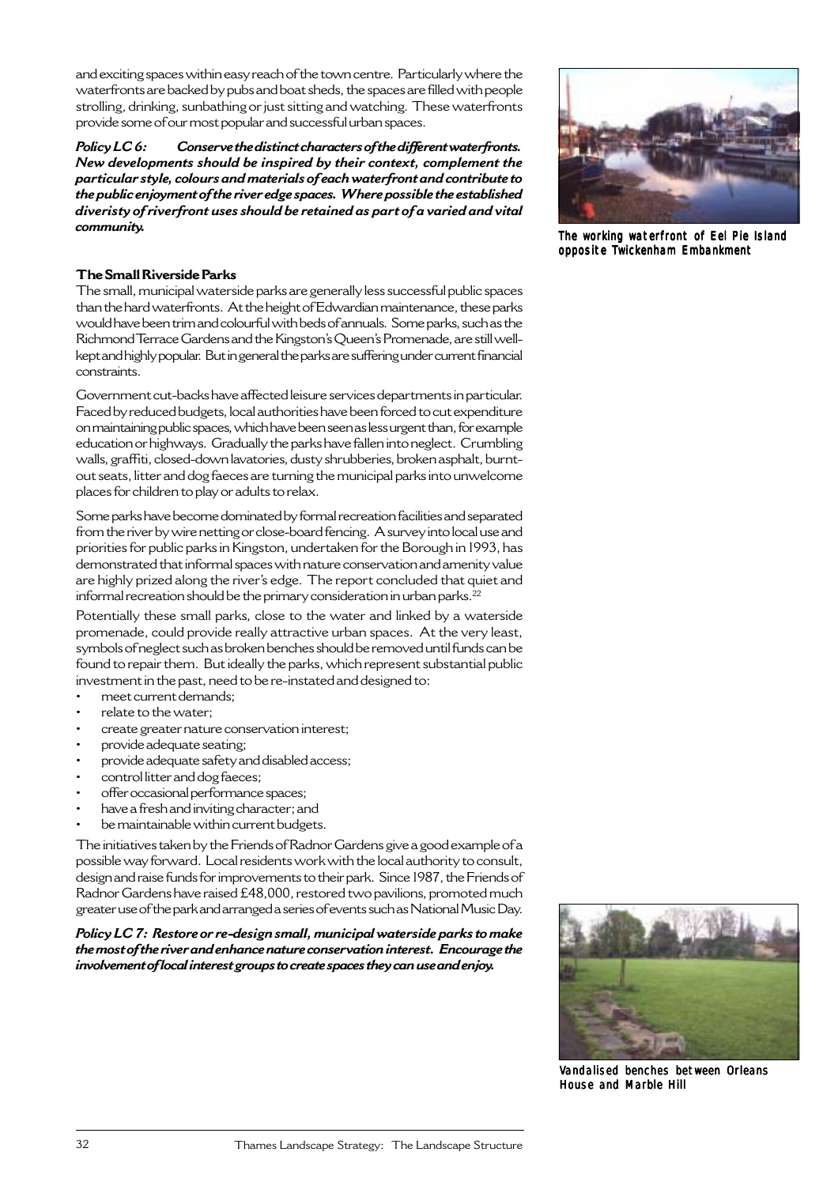and exciting spaces within easy reach of the town centre. Particularly where the waterfronts are backed by pubs and boat sheds, the spaces are filled with people strolling, drinking, sunbathing or just sitting and watching. These waterfronts provide some of our most popular and successful urban spaces.

*Policy LC 6: Conserve the distinct characters of the different waterfronts. New developments should be inspired by their context, complement the particular style, colours and materials of each waterfront and contribute to the public enjoyment of the river edge spaces. Where possible the established diveristy of riverfront uses should be retained as part of a varied and vital community.*

## **The Small Riverside Parks**

The small, municipal waterside parks are generally less successful public spaces than the hard waterfronts. At the height of Edwardian maintenance, these parks would have been trim and colourful with beds of annuals. Some parks, such as the Richmond Terrace Gardens and the Kingston's Queen's Promenade, are still wellkept and highly popular. But in general the parks are suffering under current financial constraints.

Government cut-backs have affected leisure services departments in particular. Faced by reduced budgets, local authorities have been forced to cut expenditure on maintaining public spaces, which have been seen as less urgent than, for example education or highways. Gradually the parks have fallen into neglect. Crumbling walls, graffiti, closed-down lavatories, dusty shrubberies, broken asphalt, burntout seats, litter and dog faeces are turning the municipal parks into unwelcome places for children to play or adults to relax.

Some parks have become dominated by formal recreation facilities and separated from the river by wire netting or close-board fencing. A survey into local use and priorities for public parks in Kingston, undertaken for the Borough in 1993, has demonstrated that informal spaces with nature conservation and amenity value are highly prized along the river's edge. The report concluded that quiet and informal recreation should be the primary consideration in urban parks.<sup>22</sup>

Potentially these small parks, close to the water and linked by a waterside promenade, could provide really attractive urban spaces. At the very least, symbols of neglect such as broken benches should be removed until funds can be found to repair them. But ideally the parks, which represent substantial public investment in the past, need to be re-instated and designed to:

- meet current demands;
- relate to the water;
- create greater nature conservation interest;
- provide adequate seating;
- provide adequate safety and disabled access;
- control litter and dog faeces;
- offer occasional performance spaces;
- have a fresh and inviting character; and
- be maintainable within current budgets.

The initiatives taken by the Friends of Radnor Gardens give a good example of a possible way forward. Local residents work with the local authority to consult, design and raise funds for improvements to their park. Since 1987, the Friends of Radnor Gardens have raised £48,000, restored two pavilions, promoted much greater use of the park and arranged a series of events such as National Music Day.

*Policy LC 7: Restore or re-design small, municipal waterside parks to make the most of the river and enhance nature conservation interest. Encourage the involvement of local interest groups to create spaces they can use and enjoy.*



The working waterfront of Eel Pie Island opposite Twickenham Embankment



Vandalised benches between Orleans House and Marble Hill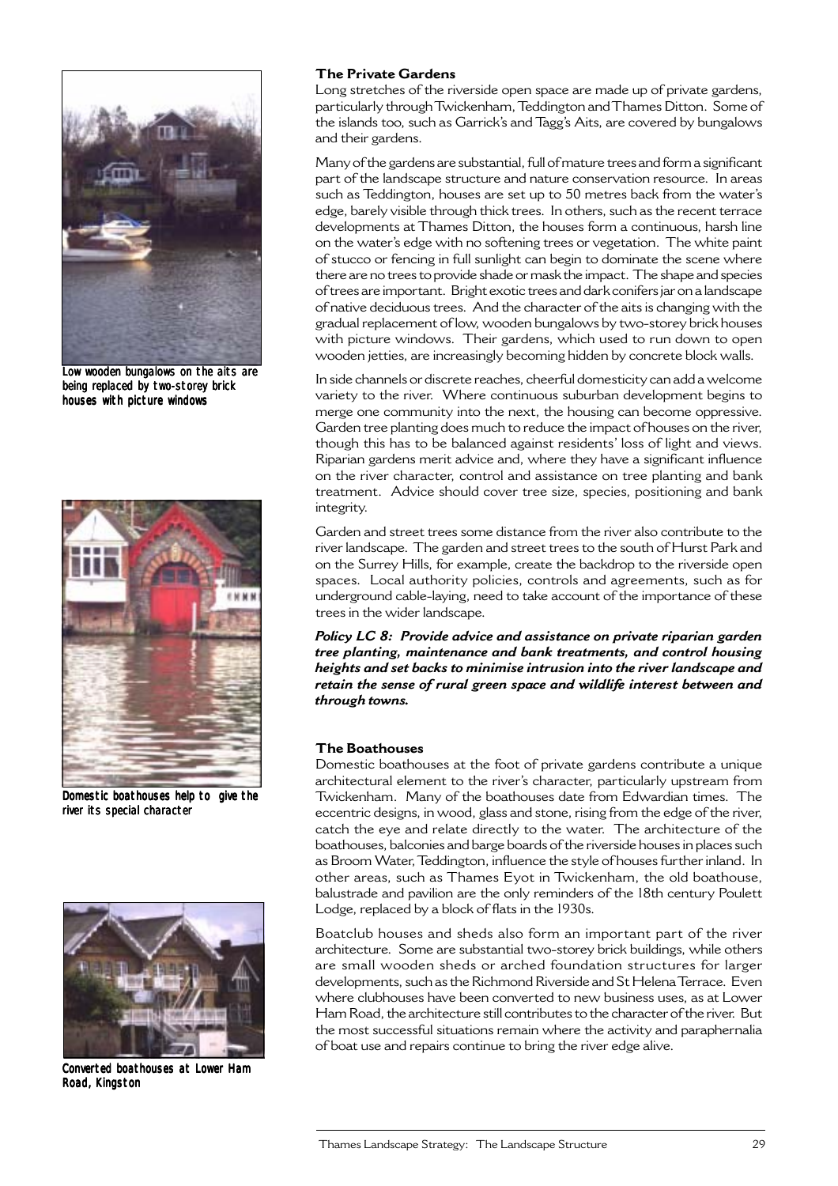

Low wooden bungalows on the aits are being replaced by two-storey brick houses with picture windows



Domestic boathouses help to give the river its special character



Converted boathouses at Lower Ham Road, Kingston

#### **The Private Gardens**

Long stretches of the riverside open space are made up of private gardens, particularly through Twickenham, Teddington and Thames Ditton. Some of the islands too, such as Garrick's and Tagg's Aits, are covered by bungalows and their gardens.

Many of the gardens are substantial, full of mature trees and form a significant part of the landscape structure and nature conservation resource. In areas such as Teddington, houses are set up to 50 metres back from the water's edge, barely visible through thick trees. In others, such as the recent terrace developments at Thames Ditton, the houses form a continuous, harsh line on the water's edge with no softening trees or vegetation. The white paint of stucco or fencing in full sunlight can begin to dominate the scene where there are no trees to provide shade or mask the impact. The shape and species of trees are important. Bright exotic trees and dark conifers jar on a landscape of native deciduous trees. And the character of the aits is changing with the gradual replacement of low, wooden bungalows by two-storey brick houses with picture windows. Their gardens, which used to run down to open wooden jetties, are increasingly becoming hidden by concrete block walls.

In side channels or discrete reaches, cheerful domesticity can add a welcome variety to the river. Where continuous suburban development begins to merge one community into the next, the housing can become oppressive. Garden tree planting does much to reduce the impact of houses on the river, though this has to be balanced against residents' loss of light and views. Riparian gardens merit advice and, where they have a significant influence on the river character, control and assistance on tree planting and bank treatment. Advice should cover tree size, species, positioning and bank integrity.

Garden and street trees some distance from the river also contribute to the river landscape. The garden and street trees to the south of Hurst Park and on the Surrey Hills, for example, create the backdrop to the riverside open spaces. Local authority policies, controls and agreements, such as for underground cable-laying, need to take account of the importance of these trees in the wider landscape.

*Policy LC 8: Provide advice and assistance on private riparian garden tree planting, maintenance and bank treatments, and control housing heights and set backs to minimise intrusion into the river landscape and retain the sense of rural green space and wildlife interest between and through towns.*

#### **The Boathouses**

Domestic boathouses at the foot of private gardens contribute a unique architectural element to the river's character, particularly upstream from Twickenham. Many of the boathouses date from Edwardian times. The eccentric designs, in wood, glass and stone, rising from the edge of the river, catch the eye and relate directly to the water. The architecture of the boathouses, balconies and barge boards of the riverside houses in places such as Broom Water, Teddington, influence the style of houses further inland. In other areas, such as Thames Eyot in Twickenham, the old boathouse, balustrade and pavilion are the only reminders of the 18th century Poulett Lodge, replaced by a block of flats in the 1930s.

Boatclub houses and sheds also form an important part of the river architecture. Some are substantial two-storey brick buildings, while others are small wooden sheds or arched foundation structures for larger developments, such as the Richmond Riverside and St Helena Terrace. Even where clubhouses have been converted to new business uses, as at Lower Ham Road, the architecture still contributes to the character of the river. But the most successful situations remain where the activity and paraphernalia of boat use and repairs continue to bring the river edge alive.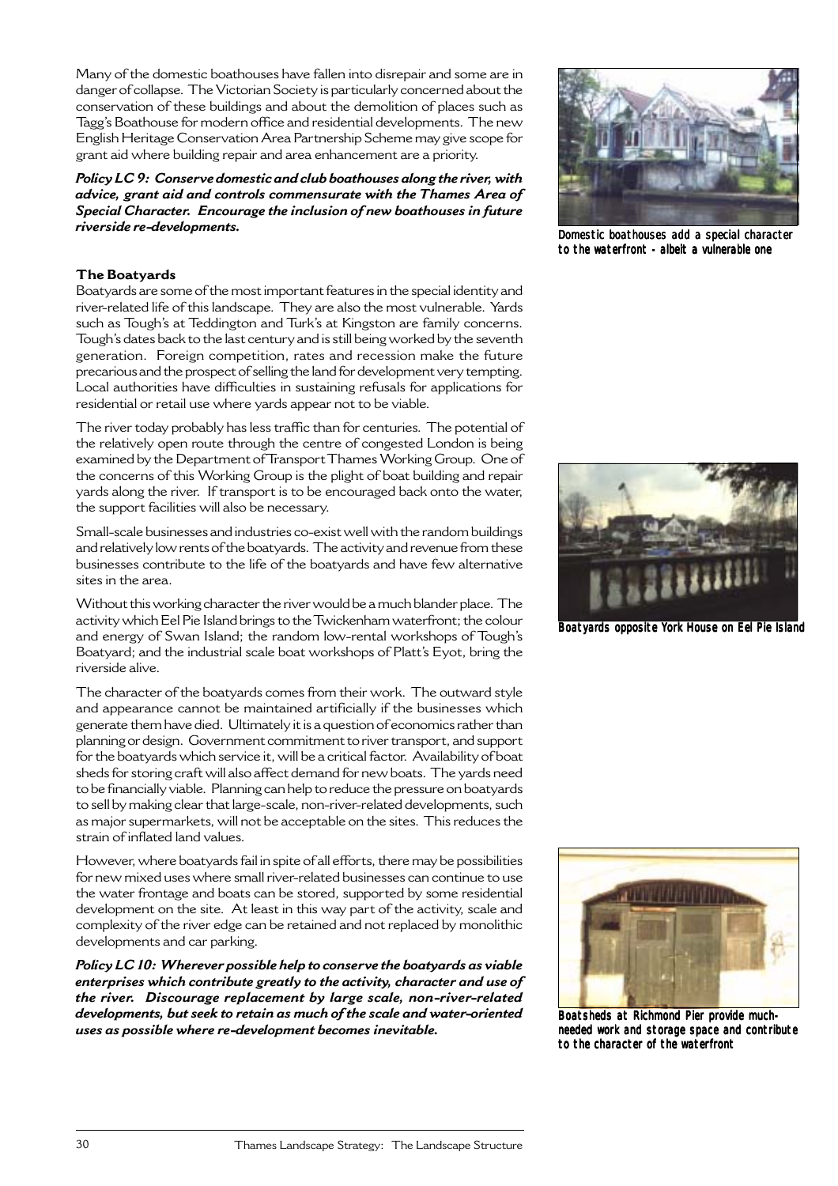Many of the domestic boathouses have fallen into disrepair and some are in danger of collapse. The Victorian Society is particularly concerned about the conservation of these buildings and about the demolition of places such as Tagg's Boathouse for modern office and residential developments. The new English Heritage Conservation Area Partnership Scheme may give scope for grant aid where building repair and area enhancement are a priority.

*Policy LC 9: Conserve domestic and club boathouses along the river, with advice, grant aid and controls commensurate with the Thames Area of Special Character. Encourage the inclusion of new boathouses in future riverside re-developments.*

## **The Boatyards**

Boatyards are some of the most important features in the special identity and river-related life of this landscape. They are also the most vulnerable. Yards such as Tough's at Teddington and Turk's at Kingston are family concerns. Tough's dates back to the last century and is still being worked by the seventh generation. Foreign competition, rates and recession make the future precarious and the prospect of selling the land for development very tempting. Local authorities have difficulties in sustaining refusals for applications for residential or retail use where yards appear not to be viable.

The river today probably has less traffic than for centuries. The potential of the relatively open route through the centre of congested London is being examined by the Department of Transport Thames Working Group. One of the concerns of this Working Group is the plight of boat building and repair yards along the river. If transport is to be encouraged back onto the water, the support facilities will also be necessary.

Small-scale businesses and industries co-exist well with the random buildings and relatively low rents of the boatyards. The activity and revenue from these businesses contribute to the life of the boatyards and have few alternative sites in the area.

Without this working character the river would be a much blander place. The activity which Eel Pie Island brings to the Twickenham waterfront; the colour and energy of Swan Island; the random low-rental workshops of Tough's Boatyard; and the industrial scale boat workshops of Platt's Eyot, bring the riverside alive.

The character of the boatyards comes from their work. The outward style and appearance cannot be maintained artificially if the businesses which generate them have died. Ultimately it is a question of economics rather than planning or design. Government commitment to river transport, and support for the boatyards which service it, will be a critical factor. Availability of boat sheds for storing craft will also affect demand for new boats. The yards need to be financially viable. Planning can help to reduce the pressure on boatyards to sell by making clear that large-scale, non-river-related developments, such as major supermarkets, will not be acceptable on the sites. This reduces the strain of inflated land values.

However, where boatyards fail in spite of all efforts, there may be possibilities for new mixed uses where small river-related businesses can continue to use the water frontage and boats can be stored, supported by some residential development on the site. At least in this way part of the activity, scale and complexity of the river edge can be retained and not replaced by monolithic developments and car parking.

*Policy LC 10: Wherever possible help to conserve the boatyards as viable enterprises which contribute greatly to the activity, character and use of the river. Discourage replacement by large scale, non-river-related developments, but seek to retain as much of the scale and water-oriented uses as possible where re-development becomes inevitable.*



Domestic boathouses add a special character to the waterfront - albeit a vulnerable one



Boatyards opposite York House on Eel Pie Island



Boatsheds at Richmond Pier provide muchneeded work and storage space and contribute to the character of the waterfront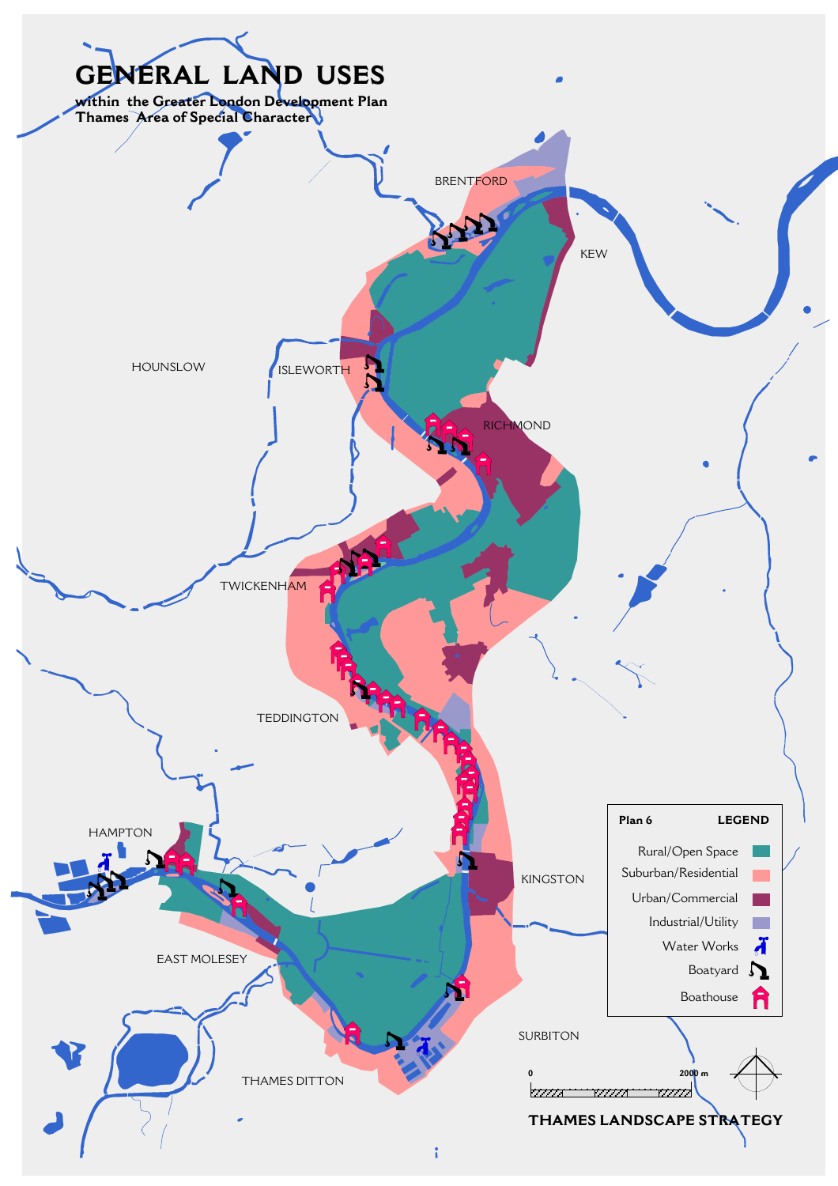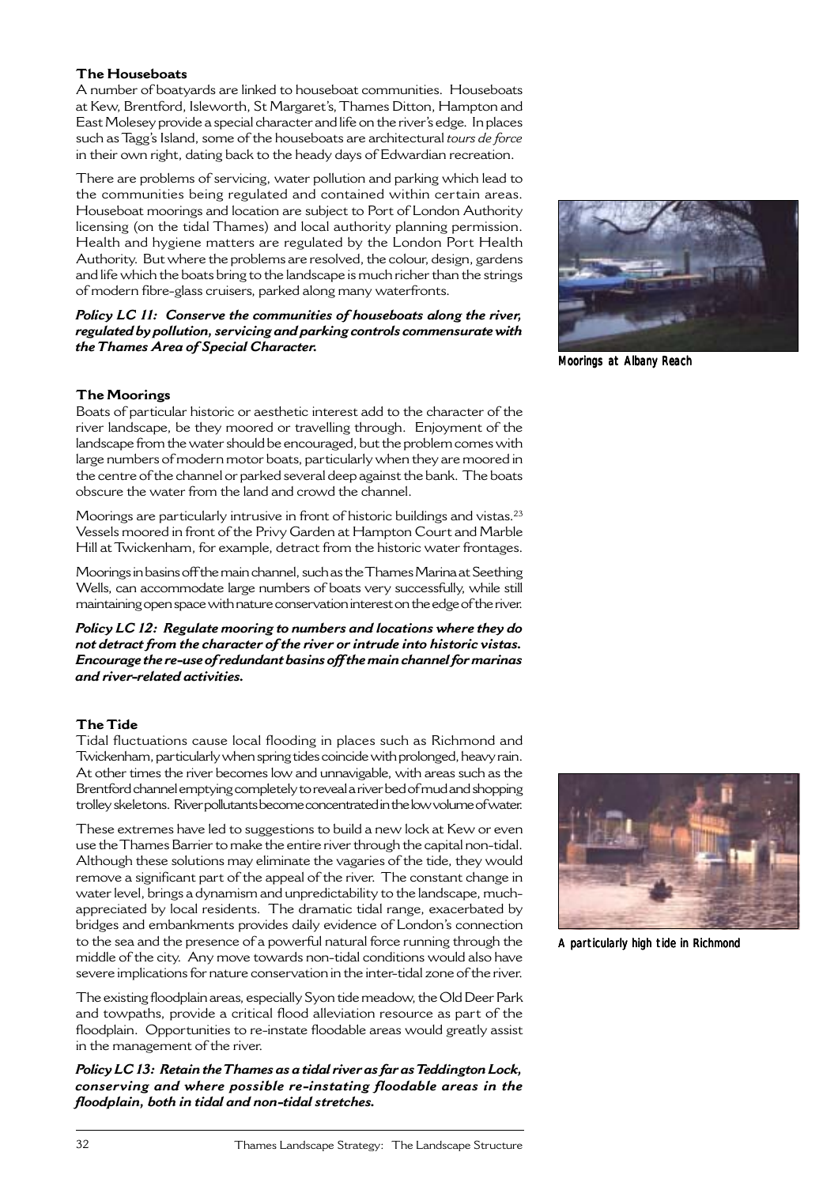#### **The Houseboats**

A number of boatyards are linked to houseboat communities. Houseboats at Kew, Brentford, Isleworth, St Margaret's, Thames Ditton, Hampton and East Molesey provide a special character and life on the river's edge. In places such as Tagg's Island, some of the houseboats are architectural *tours de force* in their own right, dating back to the heady days of Edwardian recreation.

There are problems of servicing, water pollution and parking which lead to the communities being regulated and contained within certain areas. Houseboat moorings and location are subject to Port of London Authority licensing (on the tidal Thames) and local authority planning permission. Health and hygiene matters are regulated by the London Port Health Authority. But where the problems are resolved, the colour, design, gardens and life which the boats bring to the landscape is much richer than the strings of modern fibre-glass cruisers, parked along many waterfronts.

#### *Policy LC 11: Conserve the communities of houseboats along the river, regulated by pollution, servicing and parking controls commensurate with the Thames Area of Special Character.*



Moorings at Albany Reach

### **The Moorings**

Boats of particular historic or aesthetic interest add to the character of the river landscape, be they moored or travelling through. Enjoyment of the landscape from the water should be encouraged, but the problem comes with large numbers of modern motor boats, particularly when they are moored in the centre of the channel or parked several deep against the bank. The boats obscure the water from the land and crowd the channel.

Moorings are particularly intrusive in front of historic buildings and vistas.23 Vessels moored in front of the Privy Garden at Hampton Court and Marble Hill at Twickenham, for example, detract from the historic water frontages.

Moorings in basins off the main channel, such as the Thames Marina at Seething Wells, can accommodate large numbers of boats very successfully, while still maintaining open space with nature conservation interest on the edge of the river.

*Policy LC 12: Regulate mooring to numbers and locations where they do not detract from the character of the river or intrude into historic vistas. Encourage the re-use of redundant basins off the main channel for marinas and river-related activities.*

## **The Tide**

Tidal fluctuations cause local flooding in places such as Richmond and Twickenham, particularly when spring tides coincide with prolonged, heavy rain. At other times the river becomes low and unnavigable, with areas such as the Brentford channel emptying completely to reveal a river bed of mud and shopping trolley skeletons. River pollutants become concentrated in the low volume of water.

These extremes have led to suggestions to build a new lock at Kew or even use the Thames Barrier to make the entire river through the capital non-tidal. Although these solutions may eliminate the vagaries of the tide, they would remove a significant part of the appeal of the river. The constant change in water level, brings a dynamism and unpredictability to the landscape, muchappreciated by local residents. The dramatic tidal range, exacerbated by bridges and embankments provides daily evidence of London's connection to the sea and the presence of a powerful natural force running through the middle of the city. Any move towards non-tidal conditions would also have severe implications for nature conservation in the inter-tidal zone of the river.

The existing floodplain areas, especially Syon tide meadow, the Old Deer Park and towpaths, provide a critical flood alleviation resource as part of the floodplain. Opportunities to re-instate floodable areas would greatly assist in the management of the river.

*Policy LC 13: Retain the Thames as a tidal river as far as Teddington Lock, conserving and where possible re-instating floodable areas in the floodplain, both in tidal and non-tidal stretches.*



A particularly high tide in Richmond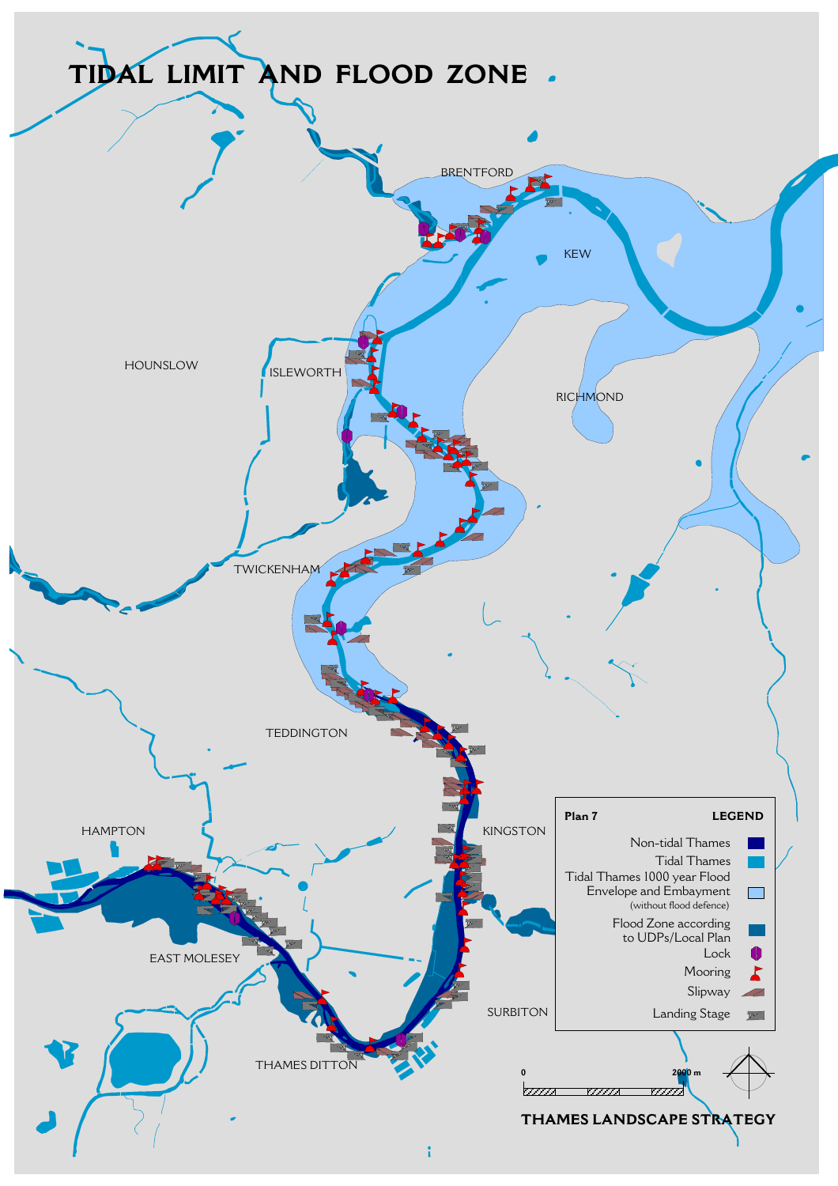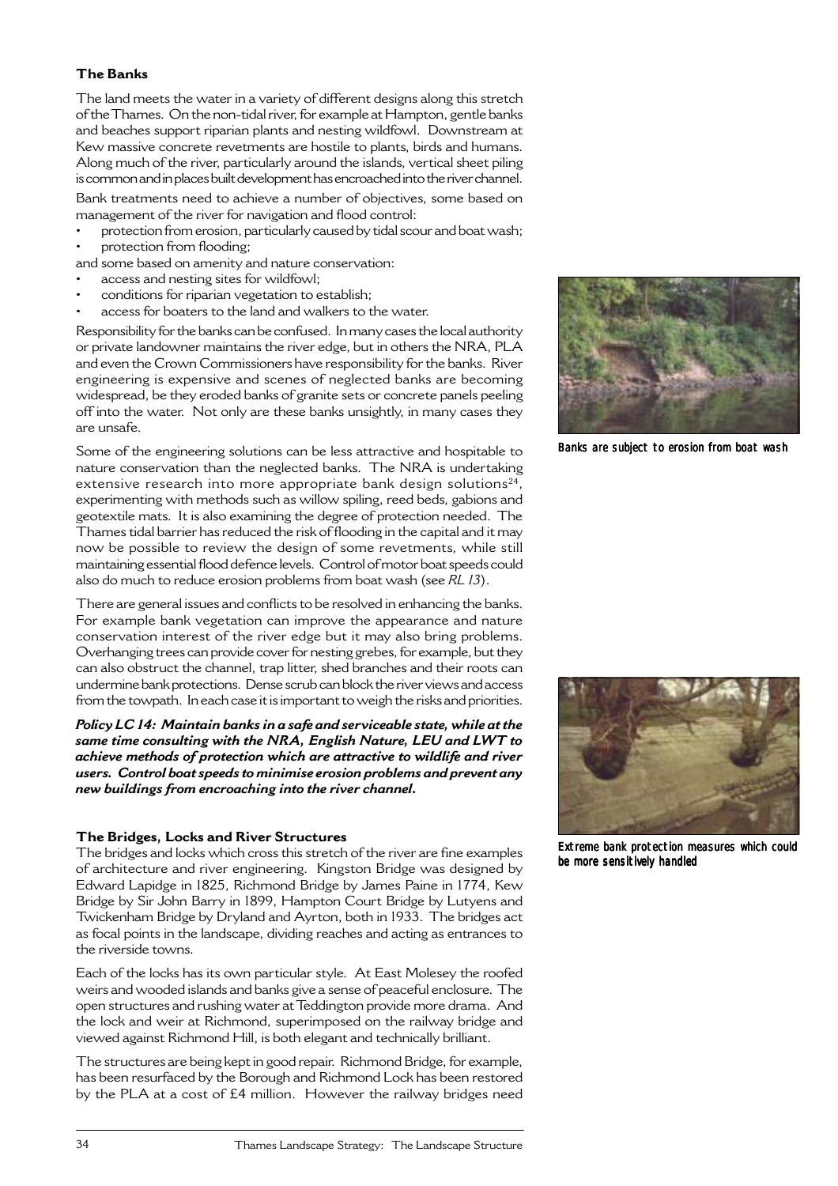## **The Banks**

The land meets the water in a variety of different designs along this stretch of the Thames. On the non-tidal river, for example at Hampton, gentle banks and beaches support riparian plants and nesting wildfowl. Downstream at Kew massive concrete revetments are hostile to plants, birds and humans. Along much of the river, particularly around the islands, vertical sheet piling is common and in places built development has encroached into the river channel.

Bank treatments need to achieve a number of objectives, some based on management of the river for navigation and flood control:

- protection from erosion, particularly caused by tidal scour and boat wash; protection from flooding;
- and some based on amenity and nature conservation:
- access and nesting sites for wildfowl;
- conditions for riparian vegetation to establish;
- access for boaters to the land and walkers to the water.

Responsibility for the banks can be confused. In many cases the local authority or private landowner maintains the river edge, but in others the NRA, PLA and even the Crown Commissioners have responsibility for the banks. River engineering is expensive and scenes of neglected banks are becoming widespread, be they eroded banks of granite sets or concrete panels peeling off into the water. Not only are these banks unsightly, in many cases they are unsafe.

Some of the engineering solutions can be less attractive and hospitable to nature conservation than the neglected banks. The NRA is undertaking extensive research into more appropriate bank design solutions<sup>24</sup>, experimenting with methods such as willow spiling, reed beds, gabions and geotextile mats. It is also examining the degree of protection needed. The Thames tidal barrier has reduced the risk of flooding in the capital and it may now be possible to review the design of some revetments, while still maintaining essential flood defence levels. Control of motor boat speeds could also do much to reduce erosion problems from boat wash (see *RL 13*).

There are general issues and conflicts to be resolved in enhancing the banks. For example bank vegetation can improve the appearance and nature conservation interest of the river edge but it may also bring problems. Overhanging trees can provide cover for nesting grebes, for example, but they can also obstruct the channel, trap litter, shed branches and their roots can undermine bank protections. Dense scrub can block the river views and access from the towpath. In each case it is important to weigh the risks and priorities.

*Policy LC 14: Maintain banks in a safe and serviceable state, while at the same time consulting with the NRA, English Nature, LEU and LWT to achieve methods of protection which are attractive to wildlife and river users. Control boat speeds to minimise erosion problems and prevent any new buildings from encroaching into the river channel.*

#### **The Bridges, Locks and River Structures**

The bridges and locks which cross this stretch of the river are fine examples of architecture and river engineering. Kingston Bridge was designed by Edward Lapidge in 1825, Richmond Bridge by James Paine in 1774, Kew Bridge by Sir John Barry in 1899, Hampton Court Bridge by Lutyens and Twickenham Bridge by Dryland and Ayrton, both in 1933. The bridges act as focal points in the landscape, dividing reaches and acting as entrances to the riverside towns.

Each of the locks has its own particular style. At East Molesey the roofed weirs and wooded islands and banks give a sense of peaceful enclosure. The open structures and rushing water at Teddington provide more drama. And the lock and weir at Richmond, superimposed on the railway bridge and viewed against Richmond Hill, is both elegant and technically brilliant.

The structures are being kept in good repair. Richmond Bridge, for example, has been resurfaced by the Borough and Richmond Lock has been restored by the PLA at a cost of £4 million. However the railway bridges need



Banks are subject to erosion from boat wash



Extreme bank protection measures which could be more sensitively handled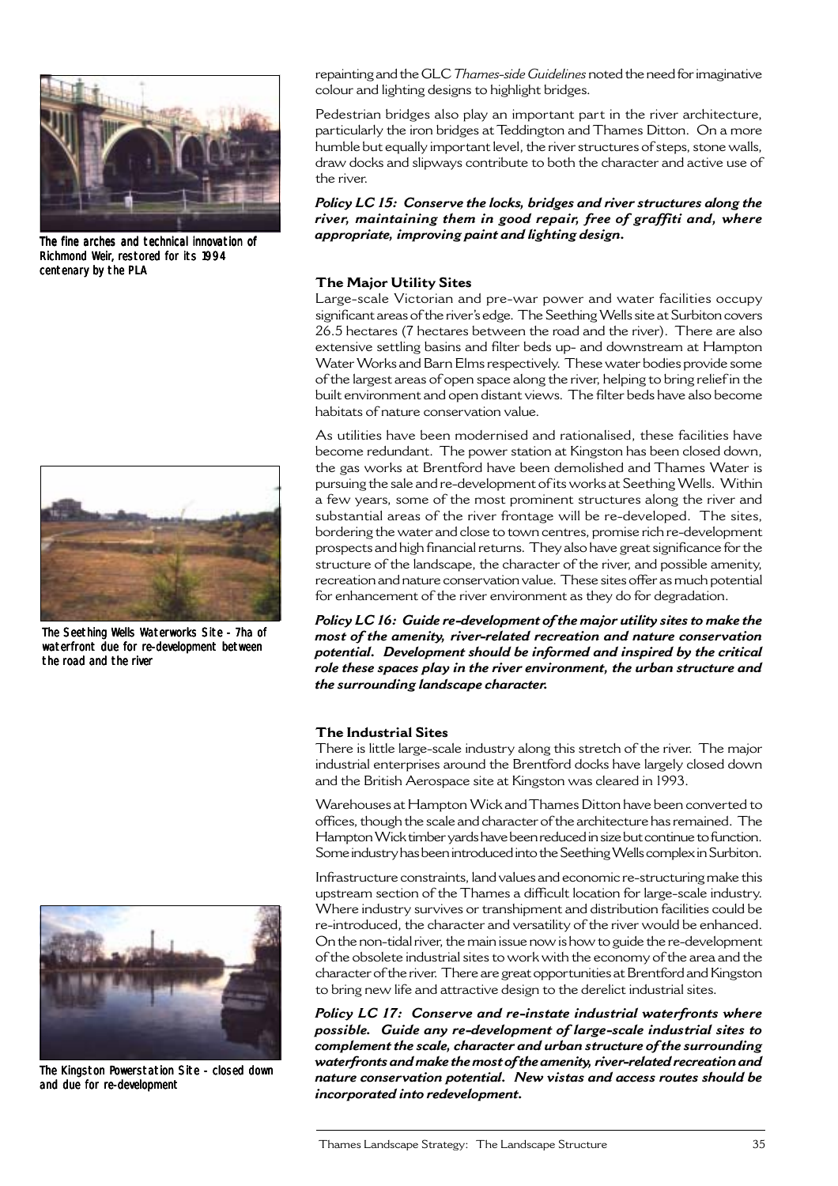

The fine arches and technical innovation of Richmond Weir, restored for its 1994 centenary by the PLA



The Seething Wells Waterworks Site - 7ha of waterfront due for re-development between the road and the river



The Kingston Powerstation Site - closed down and due for re-development

repainting and the GLC *Thames-side Guidelines* noted the need for imaginative colour and lighting designs to highlight bridges.

Pedestrian bridges also play an important part in the river architecture, particularly the iron bridges at Teddington and Thames Ditton. On a more humble but equally important level, the river structures of steps, stone walls, draw docks and slipways contribute to both the character and active use of the river.

*Policy LC 15: Conserve the locks, bridges and river structures along the river, maintaining them in good repair, free of graffiti and, where appropriate, improving paint and lighting design.*

#### **The Major Utility Sites**

Large-scale Victorian and pre-war power and water facilities occupy significant areas of the river's edge. The Seething Wells site at Surbiton covers 26.5 hectares (7 hectares between the road and the river). There are also extensive settling basins and filter beds up- and downstream at Hampton Water Works and Barn Elms respectively. These water bodies provide some of the largest areas of open space along the river, helping to bring relief in the built environment and open distant views. The filter beds have also become habitats of nature conservation value.

As utilities have been modernised and rationalised, these facilities have become redundant. The power station at Kingston has been closed down, the gas works at Brentford have been demolished and Thames Water is pursuing the sale and re-development of its works at Seething Wells. Within a few years, some of the most prominent structures along the river and substantial areas of the river frontage will be re-developed. The sites, bordering the water and close to town centres, promise rich re-development prospects and high financial returns. They also have great significance for the structure of the landscape, the character of the river, and possible amenity, recreation and nature conservation value. These sites offer as much potential for enhancement of the river environment as they do for degradation.

*Policy LC 16: Guide re-development of the major utility sites to make the most of the amenity, river-related recreation and nature conservation potential. Development should be informed and inspired by the critical role these spaces play in the river environment, the urban structure and the surrounding landscape character.*

#### **The Industrial Sites**

There is little large-scale industry along this stretch of the river. The major industrial enterprises around the Brentford docks have largely closed down and the British Aerospace site at Kingston was cleared in 1993.

Warehouses at Hampton Wick and Thames Ditton have been converted to offices, though the scale and character of the architecture has remained. The Hampton Wick timber yards have been reduced in size but continue to function. Some industry has been introduced into the Seething Wells complex in Surbiton.

Infrastructure constraints, land values and economic re-structuring make this upstream section of the Thames a difficult location for large-scale industry. Where industry survives or transhipment and distribution facilities could be re-introduced, the character and versatility of the river would be enhanced. On the non-tidal river, the main issue now is how to guide the re-development of the obsolete industrial sites to work with the economy of the area and the character of the river. There are great opportunities at Brentford and Kingston to bring new life and attractive design to the derelict industrial sites.

*Policy LC 17: Conserve and re-instate industrial waterfronts where possible. Guide any re-development of large-scale industrial sites to complement the scale, character and urban structure of the surrounding waterfronts and make the most of the amenity, river-related recreation and nature conservation potential. New vistas and access routes should be incorporated into redevelopment.*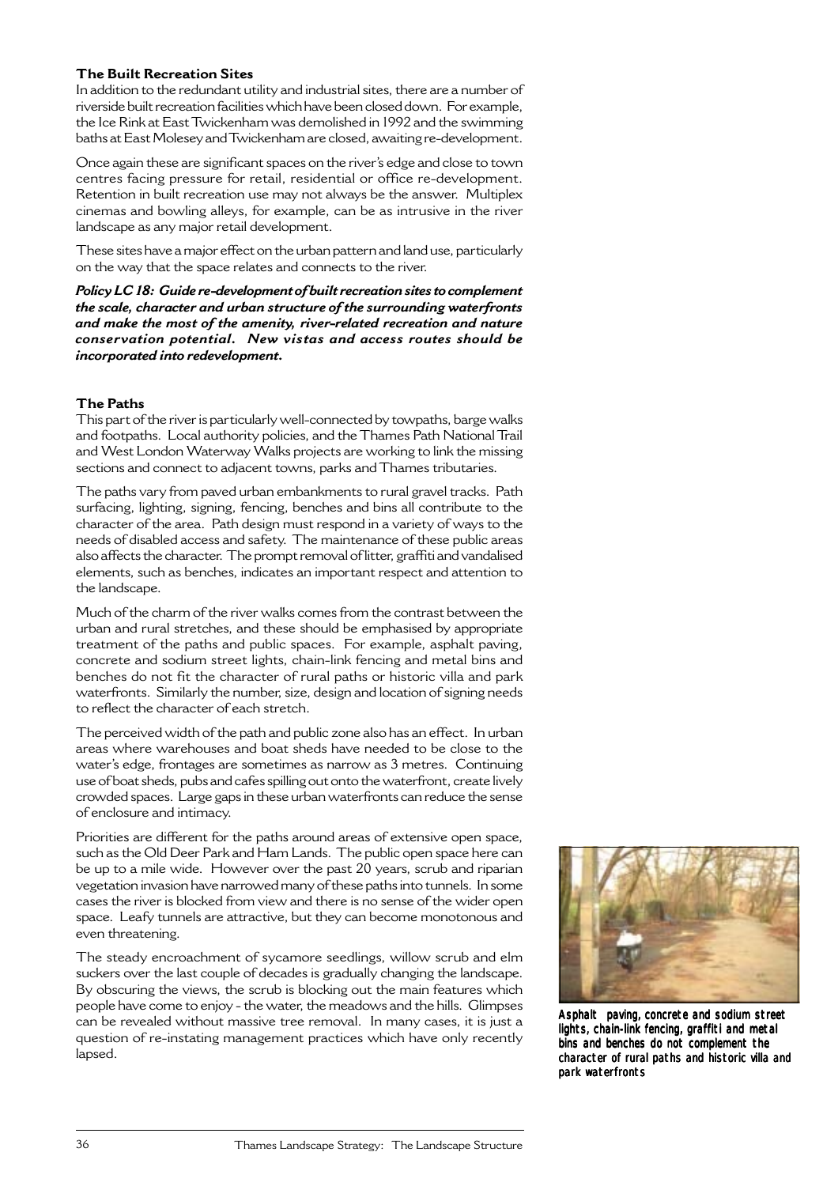#### **The Built Recreation Sites**

In addition to the redundant utility and industrial sites, there are a number of riverside built recreation facilities which have been closed down. For example, the Ice Rink at East Twickenham was demolished in 1992 and the swimming baths at East Molesey and Twickenham are closed, awaiting re-development.

Once again these are significant spaces on the river's edge and close to town centres facing pressure for retail, residential or office re-development. Retention in built recreation use may not always be the answer. Multiplex cinemas and bowling alleys, for example, can be as intrusive in the river landscape as any major retail development.

These sites have a major effect on the urban pattern and land use, particularly on the way that the space relates and connects to the river.

*Policy LC 18: Guide re-development of built recreation sites to complement the scale, character and urban structure of the surrounding waterfronts and make the most of the amenity, river-related recreation and nature conservation potential. New vistas and access routes should be incorporated into redevelopment.*

## **The Paths**

This part of the river is particularly well-connected by towpaths, barge walks and footpaths. Local authority policies, and the Thames Path National Trail and West London Waterway Walks projects are working to link the missing sections and connect to adjacent towns, parks and Thames tributaries.

The paths vary from paved urban embankments to rural gravel tracks. Path surfacing, lighting, signing, fencing, benches and bins all contribute to the character of the area. Path design must respond in a variety of ways to the needs of disabled access and safety. The maintenance of these public areas also affects the character. The prompt removal of litter, graffiti and vandalised elements, such as benches, indicates an important respect and attention to the landscape.

Much of the charm of the river walks comes from the contrast between the urban and rural stretches, and these should be emphasised by appropriate treatment of the paths and public spaces. For example, asphalt paving, concrete and sodium street lights, chain-link fencing and metal bins and benches do not fit the character of rural paths or historic villa and park waterfronts. Similarly the number, size, design and location of signing needs to reflect the character of each stretch.

The perceived width of the path and public zone also has an effect. In urban areas where warehouses and boat sheds have needed to be close to the water's edge, frontages are sometimes as narrow as 3 metres. Continuing use of boat sheds, pubs and cafes spilling out onto the waterfront, create lively crowded spaces. Large gaps in these urban waterfronts can reduce the sense of enclosure and intimacy.

Priorities are different for the paths around areas of extensive open space, such as the Old Deer Park and Ham Lands. The public open space here can be up to a mile wide. However over the past 20 years, scrub and riparian vegetation invasion have narrowed many of these paths into tunnels. In some cases the river is blocked from view and there is no sense of the wider open space. Leafy tunnels are attractive, but they can become monotonous and even threatening.

The steady encroachment of sycamore seedlings, willow scrub and elm suckers over the last couple of decades is gradually changing the landscape. By obscuring the views, the scrub is blocking out the main features which people have come to enjoy - the water, the meadows and the hills. Glimpses can be revealed without massive tree removal. In many cases, it is just a question of re-instating management practices which have only recently lapsed.



Asphalt paving, concrete and sodium street lights, chain-link fencing, graffiti and metal bins and benches do not complement the character of rural paths and historic villa and park waterfronts